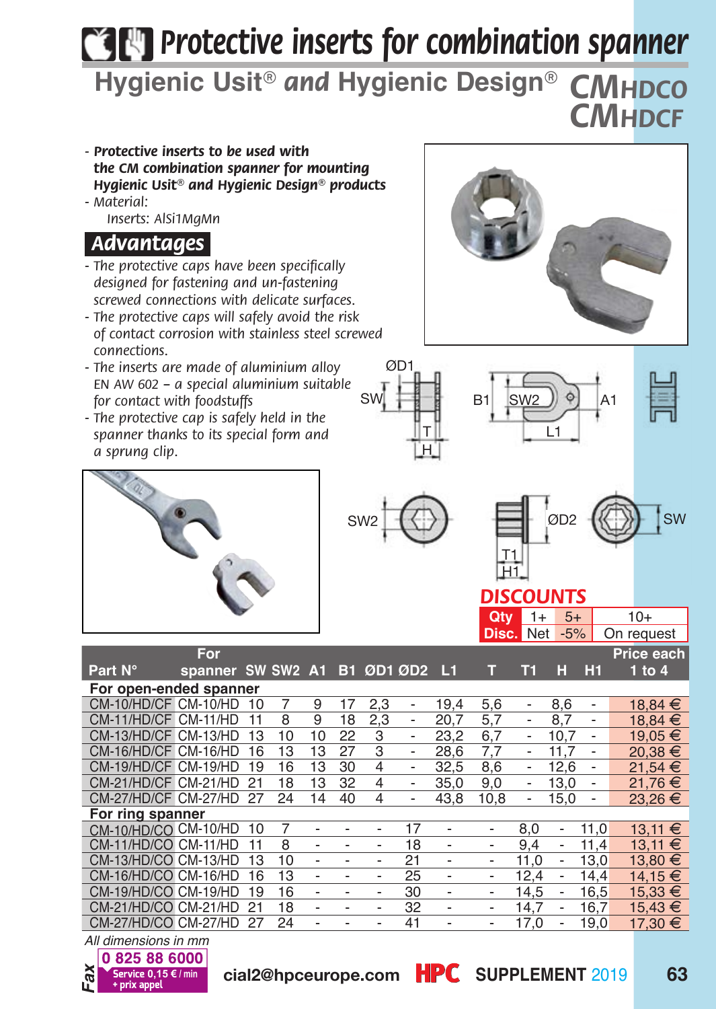# *Protective inserts for combination spanner*

**Hygienic Usit***® and* **Hygienic Design***® CMhdco CMhdcf*

- *Protective inserts to be used with the CM combination spanner for mounting Hygienic Usit® and Hygienic Design® products*
- *Material: Inserts: AlSi1MgMn*

## *Advantages.*

- *The protective caps have been specifically designed for fastening and un-fastening screwed connections with delicate surfaces.*
- *The protective caps will safely avoid the risk of contact corrosion with stainless steel screwed connections.*
- *The inserts are made of aluminium alloy EN AW 602 – a special aluminium suitable for contact with foodstuffs*
- *The protective cap is safely held in the spanner thanks to its special form and a sprung clip.*





ØD1





#### *DISCOUNTS*

## **Qty** 1+ 5+ 10+

|                        |                              |    |    |                          |    |                              |                          |                          |                          | <b>Disc. Net</b>         | $-5%$                    |                          | On request  |
|------------------------|------------------------------|----|----|--------------------------|----|------------------------------|--------------------------|--------------------------|--------------------------|--------------------------|--------------------------|--------------------------|-------------|
|                        | For                          |    |    |                          |    |                              |                          |                          |                          |                          |                          |                          | Price each  |
| Part N°                | spanner SW SW2 A1 B1 ØD1 ØD2 |    |    |                          |    |                              |                          | - 14                     | т                        | Т1                       | н                        | H1                       | $1$ to $4$  |
| For open-ended spanner |                              |    |    |                          |    |                              |                          |                          |                          |                          |                          |                          |             |
| CM-10/HD/CF CM-10/HD   |                              | 10 | 7  | 9                        | 17 | 2.3                          | $\overline{\phantom{0}}$ | 19.4                     | 5,6                      | $\overline{\phantom{0}}$ | 8.6                      | $\overline{\phantom{0}}$ | 18,84 €     |
| CM-11/HD/CF CM-11/HD   |                              | 11 | 8  | 9                        | 18 | 2,3                          | $\overline{\phantom{a}}$ | 20.7                     | 5,7                      | $\overline{\phantom{0}}$ | 8.7                      |                          | 18.84 €     |
| CM-13/HD/CF CM-13/HD   |                              | 13 | 10 | 10                       | 22 | 3                            | $\overline{\phantom{a}}$ | 23.2                     | 6,7                      | $\overline{\phantom{0}}$ | 10.7                     | $\overline{\phantom{a}}$ | 19.05 €     |
| CM-16/HD/CF CM-16/HD   |                              | 16 | 13 | 13                       | 27 | 3                            | $\overline{\phantom{0}}$ | 28.6                     | 7.7                      | $\overline{\phantom{0}}$ | 11.7                     | $\overline{\phantom{a}}$ | $20.38 \in$ |
| CM-19/HD/CF CM-19/HD   |                              | 19 | 16 | 13                       | 30 | 4                            | $\overline{\phantom{0}}$ | 32.5                     | 8.6                      | $\overline{\phantom{0}}$ | 12.6                     | $\overline{\phantom{0}}$ | 21.54 €     |
| CM-21/HD/CF CM-21/HD   |                              | 21 | 18 | 13                       | 32 | 4                            | $\overline{\phantom{0}}$ | 35.0                     | 9,0                      | $\overline{\phantom{0}}$ | 13.0                     | $\overline{\phantom{0}}$ | 21.76 €     |
| CM-27/HD/CF CM-27/HD   |                              | 27 | 24 | 14                       | 40 | 4                            | $\overline{\phantom{0}}$ | 43.8                     | 10.8                     | $\overline{\phantom{0}}$ | 15.0                     |                          | $23.26 \t∈$ |
| For ring spanner       |                              |    |    |                          |    |                              |                          |                          |                          |                          |                          |                          |             |
| CM-10/HD/CO CM-10/HD   |                              | 10 | 7  |                          |    | $\overline{\phantom{0}}$     | 17                       | $\overline{\phantom{a}}$ | $\overline{\phantom{a}}$ | 8.0                      | $\overline{\phantom{a}}$ | 11.0                     | $13,11 \in$ |
| CM-11/HD/CO CM-11/HD   |                              | 11 | 8  |                          |    |                              | 18                       | $\overline{\phantom{0}}$ | $\overline{\phantom{0}}$ | 9.4                      | $\overline{\phantom{0}}$ | 11.4                     | $13.11 \in$ |
| CM-13/HD/CO CM-13/HD   |                              | 13 | 10 | $\overline{\phantom{0}}$ |    | $\overline{a}$               | 21                       | $\overline{\phantom{0}}$ | $\overline{\phantom{0}}$ | 11.0                     | $\overline{\phantom{0}}$ | 13.0                     | 13.80 €     |
| CM-16/HD/CO CM-16/HD   |                              | 16 | 13 |                          |    | $\qquad \qquad \blacksquare$ | 25                       | $\overline{\phantom{0}}$ | $\overline{\phantom{a}}$ | 12.4                     | $\overline{\phantom{0}}$ | 14.4                     | 14,15 €     |
| CM-19/HD/CO CM-19/HD   |                              | 19 | 16 |                          |    | $\overline{a}$               | 30                       | $\overline{\phantom{a}}$ | $\overline{\phantom{a}}$ | 14.5                     | $\overline{\phantom{0}}$ | 16.5                     | 15.33 €     |
| CM-21/HD/CO CM-21/HD   |                              | 21 | 18 |                          |    | $\overline{a}$               | 32                       | $\overline{\phantom{0}}$ | $\overline{\phantom{0}}$ | 14.7                     | $\overline{\phantom{0}}$ | 16,7                     | $15,43 \in$ |
| CM-27/HD/CO CM-27/HD   |                              | 27 | 24 |                          |    | $\overline{a}$               | 41                       | $\overline{\phantom{a}}$ | $\overline{\phantom{a}}$ | 17.0                     | $\overline{\phantom{0}}$ | 19.0                     | 17,30 €     |
| All dimensions in mm   |                              |    |    |                          |    |                              |                          |                          |                          |                          |                          |                          |             |

*All dimensions in mm*0 825 88 6000 *Fax*

**0,15 €/min** cial2@hpceurope.com HPC SUPPLEMENT 2019 63